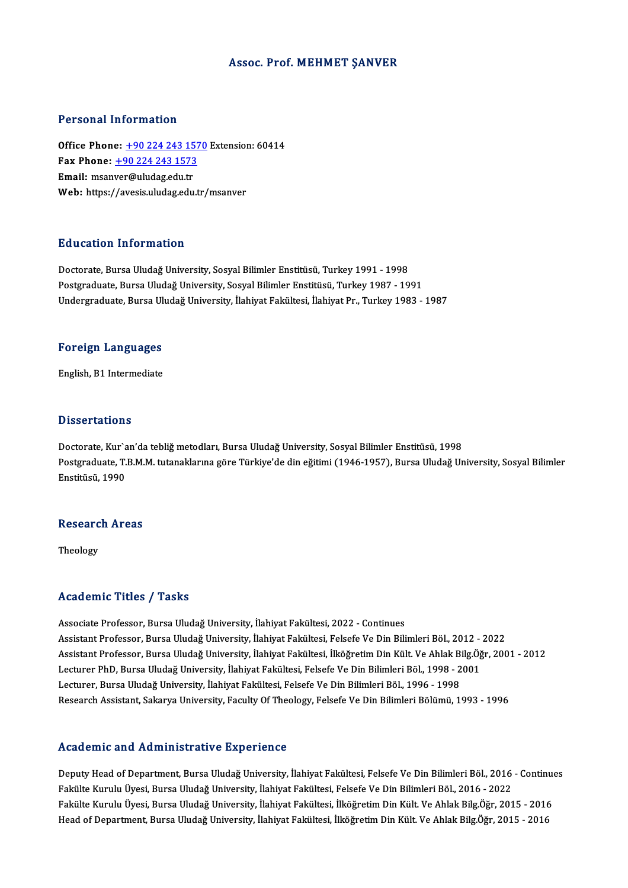#### Assoc. Prof.MEHMET ŞANVER

#### Personal Information

Office Phone: +90 224 243 1570 Extension: 60414 1 1121 11121 11121<br>1121 0ffice Phone: <u>+90 224 243 1573</u><br>Fmail: meanwer@uludes.edu.tr Office Phone: <u>+90 224 243 15</u><br>Fax Phone: <u>+90 224 243 1573</u><br>Email: msan[ver@uludag.edu.tr](tel:+90 224 243 1573) Email: msanver@uludag.edu.tr<br>Web: https://avesis.uludag.edu.tr/msanver

#### Education Information

Doctorate, Bursa Uludağ University, Sosyal Bilimler Enstitüsü, Turkey 1991 - 1998 Postgraduate, Bursa Uludağ University, Sosyal Bilimler Enstitüsü, Turkey 1987 - 1991 Undergraduate, Bursa Uludağ University, İlahiyat Fakültesi, İlahiyat Pr., Turkey 1983 - 1987

#### Foreign Languages

English, B1 Intermediate

#### **Dissertations**

Doctorate, Kur'an'da tebliğ metodları, Bursa Uludağ University, Sosyal Bilimler Enstitüsü, 1998 D'isses tationis<br>Doctorate, Kur`an'da tebliğ metodları, Bursa Uludağ University, Sosyal Bilimler Enstitüsü, 1998<br>Postgraduate, T.B.M.M. tutanaklarına göre Türkiye'de din eğitimi (1946-1957), Bursa Uludağ University, Sosyal Doctorate, Kur`a<br>Postgraduate, T.<br>Enstitüsü, 1990

### ensulusu, 1990<br>Research Areas Researc<br><sub>Theology</sub>

## Theology<br>Academic Titles / Tasks

Associate Professor, Bursa Uludağ University, İlahiyat Fakültesi, 2022 - Continues Associate Professor, Bursa Uludağ University, İlahiyat Fakültesi, 2022 - Continues<br>Assistant Professor, Bursa Uludağ University, İlahiyat Fakültesi, Felsefe Ve Din Bilimleri Böl., 2012 - 2022<br>Assistant Professor, Bursa Ulu Assistant Professor, Bursa Uludağ University, İlahiyat Fakültesi, İlköğretim Din Kült. Ve Ahlak Bilg.Öğr, 2001 - 2012<br>Lecturer PhD, Bursa Uludağ University, İlahiyat Fakültesi, Felsefe Ve Din Bilimleri Böl., 1998 - 2001 Assistant Professor, Bursa Uludağ University, İlahiyat Fakültesi, Felsefe Ve Din Bilimleri Böl., 2012 -<br>Assistant Professor, Bursa Uludağ University, İlahiyat Fakültesi, İlköğretim Din Kült. Ve Ahlak Bilg.Öğ<br>Lecturer PhD, Lecturer, Bursa Uludağ University, İlahiyat Fakültesi, Felsefe Ve Din Bilimleri Böl., 1996 - 1998 Research Assistant, Sakarya University, Faculty Of Theology, Felsefe Ve Din Bilimleri Bölümü, 1993 - 1996

#### Academic and Administrative Experience

Academic and Administrative Experience<br>Deputy Head of Department, Bursa Uludağ University, İlahiyat Fakültesi, Felsefe Ve Din Bilimleri Böl., 2016 - Continues<br>Felsüke Kumılı Üyesi, Bursa Uludağ University, İlahiyat Fakülte Fakülte Kurulu Üyesi, Bursa Uludağ University, İlahiyat Fakültesi, Felsefe Ve Din Bilimleri Böl., 2016 - 2022<br>Fakülte Kurulu Üyesi, Bursa Uludağ University, İlahiyat Fakültesi, İlköğretim Din Kült. Ve Ahlak Bilg.Öğr, 2015 Deputy Head of Department, Bursa Uludağ University, İlahiyat Fakültesi, Felsefe Ve Din Bilimleri Böl., 2016 - Continu<br>Fakülte Kurulu Üyesi, Bursa Uludağ University, İlahiyat Fakültesi, Felsefe Ve Din Bilimleri Böl., 2016 -Head of Department, Bursa Uludağ University, İlahiyat Fakültesi, İlköğretim Din Kült. Ve Ahlak Bilg.Öğr, 2015 - 2016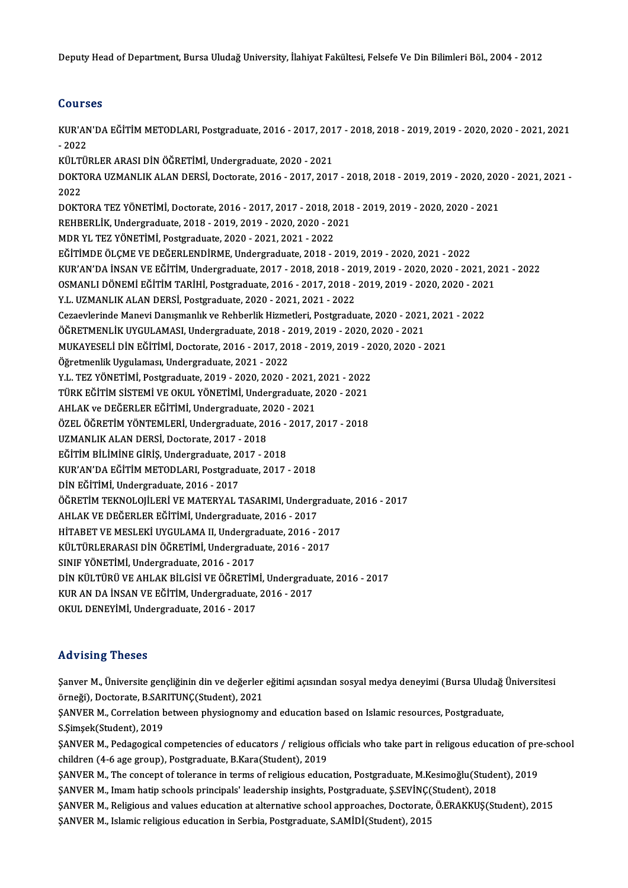Deputy Head of Department, Bursa Uludağ University, İlahiyat Fakültesi, Felsefe Ve Din Bilimleri Böl., 2004 - 2012

### Courses

Courses<br>KUR'AN'DA EĞİTİM METODLARI, Postgraduate, 2016 - 2017, 2017 - 2018, 2018 - 2019, 2019 - 2020, 2020 - 2021, 2021<br>2022 2021<br>2022 -<br>2022 -KUR'AN'DA EĞİTİM METODLARI, Postgraduate, 2016 - 2017, 201<br>- 2022<br>KÜLTÜRLER ARASI DİN ÖĞRETİMİ, Undergraduate, 2020 - 2021<br>DOKTOBA UZMANLUK ALAN DEPSİ, Dostorata, 2016 - 2017, 2017 - 2022<br>KÜLTÜRLER ARASI DİN ÖĞRETİMİ, Undergraduate, 2020 - 2021<br>DOKTORA UZMANLIK ALAN DERSİ, Doctorate, 2016 - 2017, 2017 - 2018, 2018 - 2019, 2019 - 2020, 2020 - 2021, 2021 -KÜLT<mark><br>DOKT</mark><br>2022<br>DOKT DOKTORA UZMANLIK ALAN DERSİ, Doctorate, 2016 - 2017, 2017 - 2018, 2018 - 2019, 2019 - 2020, 202<br>2022<br>DOKTORA TEZ YÖNETİMİ, Doctorate, 2016 - 2017, 2017 - 2018, 2018 - 2019, 2019 - 2020, 2020 - 2021<br>REHRERLİK Undergraduata 2022<br>DOKTORA TEZ YÖNETİMİ, Doctorate, 2016 - 2017, 2017 - 2018, 2018 - 2019, 2019 - 2020, 2020 - 2021<br>REHBERLİK, Undergraduate, 2018 - 2019, 2019 - 2020, 2020 - 2021<br>MDR YL TEZ YÖNETİMİ, Postgraduate, 2020 - 2021, 2021 - 2 REHBERLİK, Undergraduate, 2018 - 2019, 2019 - 2020, 2020 - 2021 EĞİTİMDEÖLÇMEVEDEĞERLENDİRME,Undergraduate,2018 -2019,2019 -2020,2021 -2022 KUR'AN'DAİNSANVEEĞİTİM,Undergraduate,2017 -2018,2018 -2019,2019 -2020,2020 -2021,2021 -2022 EĞİTİMDE ÖLÇME VE DEĞERLENDİRME, Undergraduate, 2018 - 2019, 2019 - 2020, 2021 - 2022<br>KUR'AN'DA İNSAN VE EĞİTİM, Undergraduate, 2017 - 2018, 2018 - 2019, 2019 - 2020, 2020 - 2021, 20<br>OSMANLI DÖNEMİ EĞİTİM TARİHİ, Postgradu KUR'AN'DA İNSAN VE EĞİTİM, Undergraduate, 2017 - 2018, 2018 - 20<br>OSMANLI DÖNEMİ EĞİTİM TARİHİ, Postgraduate, 2016 - 2017, 2018 -<br>Y.L. UZMANLIK ALAN DERSİ, Postgraduate, 2020 - 2021, 2021 - 2022<br>Carasylarında Manayi Danısma OSMANLI DÖNEMİ EĞİTİM TARİHİ, Postgraduate, 2016 - 2017, 2018 - 2019, 2019 - 2020, 2020 - 202<br>Y.L. UZMANLIK ALAN DERSİ, Postgraduate, 2020 - 2021, 2021 - 2022<br>Cezaevlerinde Manevi Danışmanlık ve Rehberlik Hizmetleri, Postg Y.L. UZMANLIK ALAN DERSİ, Postgraduate, 2020 - 2021, 2021 - 2022<br>Cezaevlerinde Manevi Danışmanlık ve Rehberlik Hizmetleri, Postgraduate, 2020 - 2021<br>ÖĞRETMENLİK UYGULAMASI, Undergraduate, 2018 - 2019, 2019 - 2020, 2020 - 2 Cezaevlerinde Manevi Danışmanlık ve Rehberlik Hizmetleri, Postgraduate, 2020 - 2021, 202<br>ÖĞRETMENLİK UYGULAMASI, Undergraduate, 2018 - 2019, 2019 - 2020, 2020 - 2021<br>MUKAYESELİ DİN EĞİTİMİ, Doctorate, 2016 - 2017, 2018 - 2 ÖĞRETMENLİK UYGULAMASI, Undergraduate, 2018 - 2019, 2019 - 2020, 2020 - 2021<br>MUKAYESELİ DİN EĞİTİMİ, Doctorate, 2016 - 2017, 2018 - 2019, 2019 - 2020, 2020 -<br>Öğretmenlik Uygulaması, Undergraduate, 2021 - 2022<br>Y.L. TEZ YÖNE MUKAYESELİ DİN EĞİTİMİ, Doctorate, 2016 - 2017, 2018 - 2019, 2019 - 2020, 2020 - 2021 Öğretmenlik Uygulaması, Undergraduate, 2021 - 2022<br>Y.L. TEZ YÖNETİMİ, Postgraduate, 2019 - 2020, 2020 - 2021, 2021 - 2022<br>TÜRK EĞİTİM SİSTEMİ VE OKUL YÖNETİMİ, Undergraduate, 2020 - 2021<br>AHLAK ve DEĞERLER EĞİTİMİ, Undergra Y.L. TEZ YÖNETİMİ, Postgraduate, 2019 - 2020, 2020 - 2021,<br>TÜRK EĞİTİM SİSTEMİ VE OKUL YÖNETİMİ, Undergraduate, 2<br>AHLAK ve DEĞERLER EĞİTİMİ, Undergraduate, 2020 - 2021<br>ÖZEL ÖĞPETİM YÖNTEMI ERİ, Undergraduate, 2016, 2017, 2 TÜRK EĞİTİM SİSTEMİ VE OKUL YÖNETİMİ, Undergraduate, 2020 - 2021<br>AHLAK ve DEĞERLER EĞİTİMİ, Undergraduate, 2020 - 2021<br>ÖZEL ÖĞRETİM YÖNTEMLERİ, Undergraduate, 2016 - 2017, 2017 - 2018<br>UZMANLIK ALAN DERSİ, Dostorate, 2017, AHLAK ve DEĞERLER EĞİTİMİ, Undergraduate, 2020 - 2021<br>ÖZEL ÖĞRETİM YÖNTEMLERİ, Undergraduate, 2016 - 2017, 2017 - 2018<br>UZMANLIK ALAN DERSİ, Doctorate, 2017 - 2018 ÖZEL ÖĞRETİM YÖNTEMLERİ, Undergraduate, 2016 -<br>UZMANLIK ALAN DERSİ, Doctorate, 2017 - 2018<br>EĞİTİM BİLİMİNE GİRİŞ, Undergraduate, 2017 - 2018<br>KUR'AN'DA EĞİTİM METODI ARL Bostanaduate, 2017 KUR'AN'DA EĞİTİM METODLARI, Postgraduate, 2017 - 2018<br>DİN EĞİTİMİ, Undergraduate, 2016 - 2017 EĞİTİM BİLİMİNE GİRİŞ, Undergraduate, 2016<br>KUR'AN'DA EĞİTİM METODLARI, Postgradı<br>DİN EĞİTİMİ, Undergraduate, 2016 - 2017<br>ÖĞPETİM TEKNOLOJL ERİ VE MATERYAL 1 KUR'AN'DA EĞİTİM METODLARI, Postgraduate, 2017 - 2018<br>DİN EĞİTİMİ, Undergraduate, 2016 - 2017<br>ÖĞRETİM TEKNOLOJİLERİ VE MATERYAL TASARIMI, Undergraduate, 2016 - 2017<br>AHLAK VE DEĞERLER EĞİTİMİ, Undergraduata, 2016 - 2017 DİN EĞİTİMİ, Undergraduate, 2016 - 2017<br>ÖĞRETİM TEKNOLOJİLERİ VE MATERYAL TASARIMI, Undergr<br>AHLAK VE DEĞERLER EĞİTİMİ, Undergraduate, 2016 - 2017<br>HİTARET VE MESLEKİ UVCULAMA IL Undergraduata, 2016 ÖĞRETİM TEKNOLOJİLERİ VE MATERYAL TASARIMI, Undergradua<br>AHLAK VE DEĞERLER EĞİTİMİ, Undergraduate, 2016 - 2017<br>HİTABET VE MESLEKİ UYGULAMA II, Undergraduate, 2016 - 2017<br>KÜLTÜPLERARASLENN ÖĞRETİMİ, Undergraduate, 2016 - 201 AHLAK VE DEĞERLER EĞİTİMİ, Undergraduate, 2016 - 2017<br>HİTABET VE MESLEKİ UYGULAMA II, Undergraduate, 2016 - 201<br>KÜLTÜRLERARASI DİN ÖĞRETİMİ, Undergraduate, 2016 - 2017<br>SINUE VÖNETİMİ, Undergraduata, 2016 - 2017 HİTABET VE MESLEKİ UYGULAMA II, Undergradu<br>KÜLTÜRLERARASI DİN ÖĞRETİMİ, Undergradu<br>SINIF YÖNETİMİ, Undergraduate, 2016 - 2017<br>DİN KÜLTÜPÜ VE AHLAK BİLCİSİ VE ÖĞRETİM SINIF YÖNETİMİ, Undergraduate, 2016 - 2017<br>DİN KÜLTÜRÜ VE AHLAK BİLGİSİ VE ÖĞRETİMİ, Undergraduate, 2016 - 2017 SINIF YÖNETİMİ, Undergraduate, 2016 - 2017<br>DİN KÜLTÜRÜ VE AHLAK BİLGİSİ VE ÖĞRETİMİ, Undergradı<br>KUR AN DA İNSAN VE EĞİTİM, Undergraduate, 2016 - 2017<br>OKUL DENEVIMİ, Undergraduate, 2016 - 2017 DİN KÜLTÜRÜ VE AHLAK BİLGİSİ VE ÖĞRETİM<br>KUR AN DA İNSAN VE EĞİTİM, Undergraduate,<br>OKUL DENEYİMİ, Undergraduate, 2016 - 2017 OKUL DENEYİMİ, Undergraduate, 2016 - 2017<br>Advising Theses

Advising Theses<br>Şanver M., Üniversite gençliğinin din ve değerler eğitimi açısından sosyal medya deneyimi (Bursa Uludağ Üniversitesi<br>Önneği), Destarata B.SARITUNC(Student), 2021 sanver M., Üniversite gençliğinin din ve değerler<br>Şanver M., Üniversite gençliğinin din ve değerler<br>örneği), Doctorate, B.SARITUNÇ(Student), 2021 Şanver M., Üniversite gençliğinin din ve değerler eğitimi açısından sosyal medya deneyimi (Bursa Uludağ<br>örneği), Doctorate, B.SARITUNÇ(Student), 2021<br>ŞANVER M., Correlation between physiognomy and education based on Islami örneği), Doctorate, B.SARITUNÇ(Student), 2021<br>ŞANVER M., Correlation between physiognomy and education based on Islamic resources, Postgraduate,<br>S.Şimşek(Student), 2019 SANVER M., Correlation between physiognomy and education based on Islamic resources, Postgraduate,<br>S.Şimşek(Student), 2019<br>SANVER M., Pedagogical competencies of educators / religious officials who take part in religous ed S.Şimşek(Student), 2019<br>ŞANVER M., Pedagogical competencies of educators / religious of<br>children (4-6 age group), Postgraduate, B.Kara(Student), 2019<br>SANVER M. The sensent of teleranse in terme of religious educe ŞANVER M., Pedagogical competencies of educators / religious officials who take part in religous education of pre<br>children (4-6 age group), Postgraduate, B.Kara(Student), 2019<br>ŞANVER M., The concept of tolerance in terms o children (4-6 age group), Postgraduate, B.Kara(Student), 2019<br>ŞANVER M., The concept of tolerance in terms of religious education, Postgraduate, M.Kesimoğlu(Student), 2018<br>ŞANVER M., Imam hatip schools principals' leadersh \$ANVER M., The concept of tolerance in terms of religious education, Postgraduate, M.Kesimoğlu(Student), 2019<br>\$ANVER M., Imam hatip schools principals' leadership insights, Postgraduate, \$.SEVİNÇ(Student), 2018<br>\$ANVER M., ŞANVER M., Imam hatip schools principals' leadership insights, Postgraduate, Ş.SEVİNÇ(<br>ŞANVER M., Religious and values education at alternative school approaches, Doctorate,<br>ŞANVER M., Islamic religious education in Serbia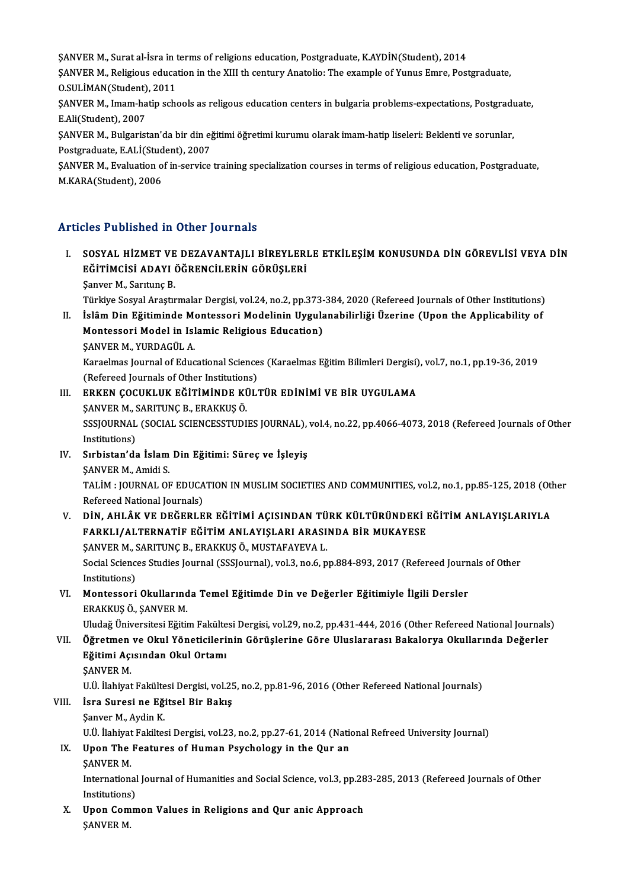SANVER M., Surat al-İsra in terms of religions education, Postgraduate, K.AYDİN(Student), 2014<br>SANVER M., Beligious education in the XIII th century Anatolie: The example of Vunus Emne, Post

ŞANVER M., Religious education in the XIII th century Anatolio: The example of Yunus Emre, Postgraduate,<br>O.SULİMAN(Student), 2011 SANVER M., Surat al-İsra in t<br>SANVER M., Religious educa<br>O.SULİMAN(Student), 2011<br>SANVER M. Imam batin seb ŞANVER M., Religious education in the XIII th century Anatolio: The example of Yunus Emre, Postgraduate,<br>O.SULİMAN(Student), 2011<br>ŞANVER M., Imam-hatip schools as religous education centers in bulgaria problems-expectation

O.SULİMAN(Student)<br>ŞANVER M., Imam-ha<br>E.Ali(Student), 2007<br>SANVER M., Bulgarist ŞANVER M., Imam-hatip schools as religous education centers in bulgaria problems-expectations, Postgradı<br>E.Ali(Student), 2007<br>ŞANVER M., Bulgaristan'da bir din eğitimi öğretimi kurumu olarak imam-hatip liseleri: Beklenti v

E.Ali(Student), 2007<br>ŞANVER M., Bulgaristan'da bir din eğ<br>Postgraduate, E.ALİ(Student), 2007<br>SANVER M., Evoluation of in servise ŞANVER M., Bulgaristan'da bir din eğitimi öğretimi kurumu olarak imam-hatip liseleri: Beklenti ve sorunlar,<br>Postgraduate, E.ALİ(Student), 2007<br>ŞANVER M., Evaluation of in-service training specialization courses in terms of

Postgraduate, E.ALİ(Student), 2007<br>ŞANVER M., Evaluation of in-service training specialization courses in terms of religious education, Postgraduate,<br>M.KARA(Student), 2006

### Articles Published in Other Journals

- ITT THE PUBLISHED AN OTHET JOUT SUNDER SUNDER SUNDER SUNDER SUNDER SUNDER SUNDER SUNDER SUNDER SUNDER SUNDER S<br>I. SOSYAL HİZMET VE DEZAVANTAJLI BİREYLERLE ETKİLEŞİM KONUSUNDA DİN GÖREVLİSİ VEYA DİN RÖTIMCISI ADAVI ÖĞRENCI SEĞ TÜƏNƏNƏQ IN ƏTNƏT JƏQTIMLƏ<br>SOSYAL HİZMET VE DEZAVANTAJLI BİREYLERI<br>EĞİTİMCİSİ ADAYI ÖĞRENCİLERİN GÖRÜŞLERİ SOSYAL HİZMET VE<br>EĞİTİMCİSİ ADAYI (<br>Şanver M., Sarıtunç B.<br>Türkiye Sesyal Arastr EĞİTİMCİSİ ADAYI ÖĞRENCİLERİN GÖRÜŞLERİ<br>Şanver M., Sarıtunç B.<br>Türkiye Sosyal Araştırmalar Dergisi, vol.24, no.2, pp.373-384, 2020 (Refereed Journals of Other Institutions)<br>İalâm Din Eğitiminde Mantesseri Medelinin Uygulan
	-

Şanver M., Sarıtunç B.<br>Türkiye Sosyal Araştırmalar Dergisi, vol.24, no.2, pp.373-384, 2020 (Refereed Journals of Other Institutions)<br>II. İslâm Din Eğitiminde Montessori Modelinin Uygulanabilirliği Üzerine (Upon the Applica Türkiye Sosyal Araştırmalar Dergisi, vol.24, no.2, pp.373-<br>İslâm Din Eğitiminde Montessori Modelinin Uygula<br>Montessori Model in Islamic Religious Education)<br>SANVER M. YURDACÜL A İslâm Din Eğitiminde Me<br>Montessori Model in Isl<br>ŞANVER M., YURDAGÜL A.<br>Karaalmas Jaurnal of Edua

Montessori Model in Islamic Religious Education)<br>ŞANVER M., YURDAGÜL A.<br>Karaelmas Journal of Educational Sciences (Karaelmas Eğitim Bilimleri Dergisi), vol.7, no.1, pp.19-36, 2019<br>(Refereed Journals of Other Institutione) SANVER M., YURDAGÜL A.<br>Karaelmas Journal of Educational Science<br>(Refereed Journals of Other Institutions)<br>FRKEN COCUKLUK FĞİTİMİNDE KÜLI (Refereed Journals of Other Institutions)

- III. ERKEN ÇOCUKLUK EĞİTİMİNDE KÜLTÜR EDİNİMİ VE BİR UYGULAMA<br>ŞANVER M., SARITUNÇ B., ERAKKUŞ Ö. ERKEN ÇOCUKLUK EĞİTİMİNDE KÜLTÜR EDİNİMİ VE BİR UYGULAMA<br>ŞANVER M., SARITUNÇ B., ERAKKUŞ Ö.<br>SSSJOURNAL (SOCIAL SCIENCESSTUDIES JOURNAL), vol.4, no.22, pp.4066-4073, 2018 (Refereed Journals of Other<br>Institutions) SANVER M., S<br>SSSJOURNAL<br>Institutions)<br>Subistan'ds SSSJOURNAL (SOCIAL SCIENCESSTUDIES JOURNAL),<br>Institutions)<br>IV. Sırbistan'da İslam Din Eğitimi: Süreç ve İşleyiş<br>SANVER M. Amidi S
- Institutions)<br>S<mark>ırbistan'da İslam</mark><br>ŞANVER M., Amidi S.<br>TALİM : JOUPNAL OF Sırbistan'da İslam Din Eğitimi: Süreç ve İşleyiş<br>ŞANVER M., Amidi S.<br>TALİM : JOURNAL OF EDUCATION IN MUSLIM SOCIETIES AND COMMUNITIES, vol.2, no.1, pp.85-125, 2018 (Other<br>Refereed National Journale) SANVER M., Amidi S.<br>TALİM : JOURNAL OF EDUCA<br>Refereed National Journals)<br>DİN AHI ÂK VE DEČERLE
- Refereed National Journals)<br>V. DİN, AHLÂK VE DEĞERLER EĞİTİMİ AÇISINDAN TÜRK KÜLTÜRÜNDEKİ EĞİTİM ANLAYIŞLARIYLA Refereed National Journals)<br>DİN, AHLÂK VE DEĞERLER EĞİTİMİ AÇISINDAN TÜRK KÜLTÜRÜNDEKİ I<br>FARKLI/ALTERNATİF EĞİTİM ANLAYIŞLARI ARASINDA BİR MUKAYESE<br>SANVER M. SARITINC B. ERAKKUŞ Ö. MUSTAFAYEVA I DİN, AHLÂK VE DEĞERLER EĞİTİMİ AÇISINDAN TÜ<br>FARKLI/ALTERNATİF EĞİTİM ANLAYIŞLARI ARASI<br>ŞANVER M., SARITUNÇ B., ERAKKUŞ Ö., MUSTAFAYEVA L.<br>Sagirl Sgianges Studies Jaumal (SSSLaumal) val 3-ns 6-n

SANVER M., SARITUNÇ B., ERAKKUŞ Ö., MUSTAFAYEVA L.

Social Sciences Studies Journal (SSSJournal), vol.3, no.6, pp.884-893, 2017 (Refereed Journals of Other Institutions) Social Sciences Studies Journal (SSSJournal), vol.3, no.6, pp.884-893, 2017 (Refereed Journ<br>Institutions)<br>VI. Montessori Okullarında Temel Eğitimde Din ve Değerler Eğitimiyle İlgili Dersler<br>FRAKKUS Ö SANVER M

Institutions)<br>**Montessori Okullarınd**<br>ERAKKUŞ Ö., ŞANVER M.<br>Illudağ Üniversitesi Fğiti

ERAKKUŞ Ö., ŞANVER M.<br>Uludağ Üniversitesi Eğitim Fakültesi Dergisi, vol.29, no.2, pp.431-444, 2016 (Other Refereed National Journals)

ERAKKUŞ Ö., ŞANVER M.<br>Uludağ Üniversitesi Eğitim Fakültesi Dergisi, vol.29, no.2, pp.431-444, 2016 (Other Refereed National Journals<br>VII. Öğretmen ve Okul Yöneticilerinin Görüşlerine Göre Uluslararası Bakalorya Okullar Uludağ Üniversitesi Eğitim Fakülte<br>Öğretmen ve Okul Yöneticileri<br>Eğitimi Açısından Okul Ortamı<br>SANVER M Öğretmen<br>Eğitimi Açı<br>ŞANVER M.<br>Hü İlebiyat Eğitimi Açısından Okul Ortamı<br>ŞANVER M.<br>U.Ü. İlahiyat Fakültesi Dergisi, vol.25, no.2, pp.81-96, 2016 (Other Refereed National Journals)<br>İsra Sunesi ne Fğitsel Bir Belus SANVER M.<br>U.Ü. İlahiyat Fakültesi Dergisi, vol.2!<br>VIII. İsra Suresi ne Eğitsel Bir Bakış<br>Sanver M., Aydin K.

## U.Ü. İlahiyat Fakülte<br>İsra Suresi ne Eği<br>Şanver M., Aydin K.<br>H.Ü. İlahiyat Fakilte

İsra Suresi ne Eğitsel Bir Bakış<br>Şanver M., Aydin K.<br>U.Ü. İlahiyat Fakiltesi Dergisi, vol.23, no.2, pp.27-61, 2014 (National Refreed University Journal)<br>Unen The Festunes of Human Bayshology in the Qur an

### Sanver M., Aydin K.<br>U.Ü. İlahiyat Fakiltesi Dergisi, vol.23, no.2, pp.27-61, 2014 (National IX.<br>IX. Upon The Features of Human Psychology in the Qur an U.Ü. İlahiyat<br>Upon The<br>ŞANVER M.<br>Internation

Upon The Features of Human Psychology in the Qur an<br>ŞANVER M.<br>International Journal of Humanities and Social Science, vol.3, pp.283-285, 2013 (Refereed Journals of Other<br>Institutione) SANVER M.<br>International<br>Institutions)<br>Unen Cemm International Journal of Humanities and Social Science, vol.3, pp.28<br>Institutions)<br>X. Upon Common Values in Religions and Qur anic Approach<br>SANVEP M

Institutions<br><mark>Upon Com</mark><br>ŞANVER M.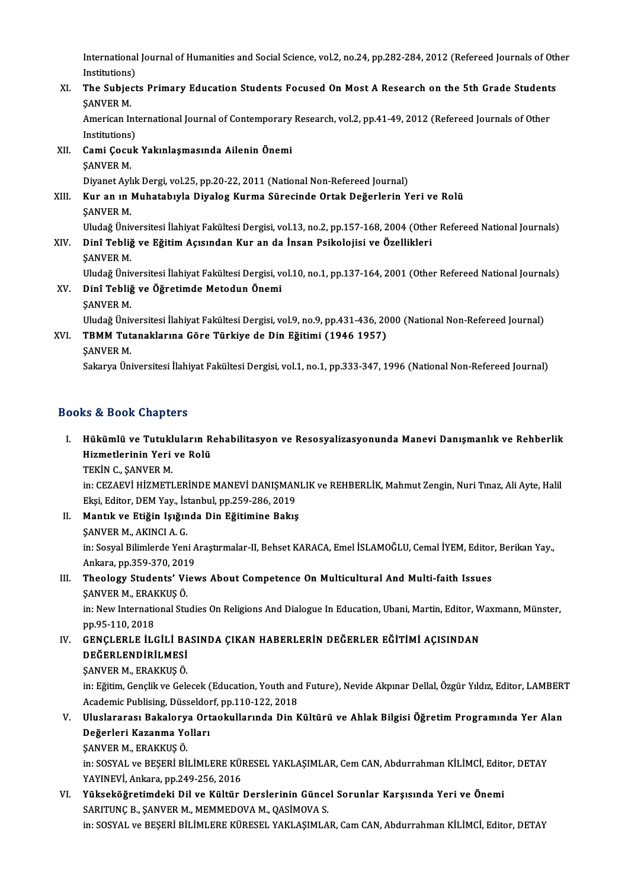International Journal of Humanities and Social Science, vol.2, no.24, pp.282-284, 2012 (Refereed Journals of Other<br>Institutions) International<br>Institutions)<br>The Subiest International Journal of Humanities and Social Science, vol.2, no.24, pp.282-284, 2012 (Refereed Journals of Oth<br>Institutions)<br>XI. The Subjects Primary Education Students Focused On Most A Research on the 5th Grade Student

Institutions)<br>XI. The Subjects Primary Education Students Focused On Most A Research on the 5th Grade Students<br>SANVER M. The Subjects Primary Education Students Focused On Most A Research on the 5th Grade Student<br>SANVER M.<br>American International Journal of Contemporary Research, vol.2, pp.41-49, 2012 (Refereed Journals of Other<br>Institutions)

SANVER M.<br>American Int<br>Institutions)<br>Cami Cacuk American International Journal of Contemporary<br>Institutions)<br>XII. Cami Çocuk Yakınlaşmasında Ailenin Önemi<br>SANIVER M

Institutions)<br>Cami Çocu<br>ŞANVER M.<br>Divanet Avl Cami Çocuk Yakınlaşmasında Ailenin Önemi<br>ŞANVER M.<br>Diyanet Aylık Dergi, vol.25, pp.20-22, 2011 (National Non-Refereed Journal)<br>Kur an ın Muhataburla Diyalog Kurma Süreginde Ortak Değerlerin Y

SANVER M.<br>Diyanet Aylık Dergi, vol.25, pp.20-22, 2011 (National Non-Refereed Journal)<br>XIII. Kur an ın Muhatabıyla Diyalog Kurma Sürecinde Ortak Değerlerin Yeri ve Rolü<br>SANVER M. Diyanet Ayl<br><mark>Kur an ın</mark> l<br>ŞANVER M.<br>Uludeğ Üni Uludağ Üniversitesi İlahiyat Fakültesi Dergisi, vol.13, no.2, pp.157-168, 2004 (Other Refereed National Journals)

ŞANVER M.<br>Uludağ Üniversitesi İlahiyat Fakültesi Dergisi, vol.13, no.2, pp.157-168, 2004 (Othe<br>XIV. Dinî Tebliğ ve Eğitim Açısından Kur an da İnsan Psikolojisi ve Özellikleri<br>SANVER M Uludağ Üniv<br><mark>Dinî Tebli</mark>ğ<br>ŞANVER M.<br>Uludağ Üniv Dinî Tebliğ ve Eğitim Açısından Kur an da İnsan Psikolojisi ve Özellikleri<br>ŞANVER M.<br>Uludağ Üniversitesi İlahiyat Fakültesi Dergisi, vol.10, no.1, pp.137-164, 2001 (Other Refereed National Journals)<br>Dinî Tebliž ve Öğretimd

ŞANVER M.<br>Uludağ Üniversitesi İlahiyat Fakültesi Dergisi, ve<br>XV. Dinî Tebliğ ve Öğretimde Metodun Önemi<br>ŞANVER M. Uludağ Üniv<br><mark>Dinî Tebli</mark>ğ<br>ŞANVER M.<br>Uludağ Üniv

Uludağ Üniversitesi İlahiyat Fakültesi Dergisi, vol.9, no.9, pp.431-436, 2000 (National Non-Refereed Journal)

ŞANVER M.<br>Uludağ Üniversitesi İlahiyat Fakültesi Dergisi, vol.9, no.9, pp.431-436, 20<br>XVI. TBMM Tutanaklarına Göre Türkiye de Din Eğitimi (1946 1957)<br>SANVER M Uludağ Üniv<br>TBMM Tut<br>ŞANVER M.<br>Sakarya Üni

ŞANVER M.<br>Sakarya Üniversitesi İlahiyat Fakültesi Dergisi, vol.1, no.1, pp.333-347, 1996 (National Non-Refereed Journal)

### Books&Book Chapters

00ks & Book Chapters<br>I. Hükümlü ve Tutukluların Rehabilitasyon ve Resosyalizasyonunda Manevi Danışmanlık ve Rehberlik<br>Hizmetlerinin Yeri ve Pelü no di boon dhapteris<br>Hükümlü ve Tutukluların R<br>Hizmetlerinin Yeri ve Rolü<br>TEKİN G. SANVER M Hükümlü ve Tutukl<br>Hizmetlerinin Yeri<br>TEKİN C., ŞANVER M.<br>in: CEZAEVİ HİZMETI Hizmetlerinin Yeri ve Rolü<br>TEKİN C., ŞANVER M.<br>in: CEZAEVİ HİZMETLERİNDE MANEVİ DANIŞMANLIK ve REHBERLİK, Mahmut Zengin, Nuri Tınaz, Ali Ayte, Halil

Ekşi, Editor, DEM Yay., İstanbul, pp.259-286, 2019

- II. Mantık ve Etiğin Işığında Din Eğitimine Bakış Ekşi, Editor, DEM Yay., İst<br><mark>Mantık ve Etiğin Işığın</mark><br>ŞANVER M., AKINCI A. G.<br>in: Sesual Bilimlarda Yan in: Sosyal Bilimlerde Yeni Araştırmalar-II, Behset KARACA, Emel İSLAMOĞLU, Cemal İYEM, Editor, Berikan Yay.,<br>Ankara, pp.359-370, 2019 SANVER M., AKINCI A. G.<br>in: Sosyal Bilimlerde Yeni A<br>Ankara, pp.359-370, 2019<br>Theology Students' Viey In: Sosyal Bilimlerde Yeni Araştırmalar-II, Behset KARACA, Emel İSLAMOĞLU, Cemal İYEM, Editor<br>Ankara, pp.359-370, 2019<br>III. Theology Students' Views About Competence On Multicultural And Multi-faith Issues<br>SANVER M. ERAKKU
- Ankara, pp.359-370, 201<br><mark>Theology Students' Vi</mark><br>ŞANVER M., ERAKKUŞ Ö.<br>in: Now International Stu ŞANVER M., ERAKKUŞ Ö.

in: New International Studies On Religions And Dialogue In Education, Ubani, Martin, Editor, Waxmann, Münster,<br>pp.95-110, 2018 in: New International Studies On Religions And Dialogue In Education, Ubani, Martin, Editor, W<br>pp.95-110, 2018<br>IV. GENÇLERLE İLGİLİ BASINDA ÇIKAN HABERLERİN DEĞERLER EĞİTİMİ AÇISINDAN<br>peğepi ennipii Mesi

pp.95-110, 2018<br>GENÇLERLE İLGİLİ BA<br>DEĞERLENDİRİLMESİ<br>SANVER M. ERAKKUS Ö GENÇLERLE İLGİLİ BA<br>DEĞERLENDİRİLMESİ<br>ŞANVER M., ERAKKUŞ Ö.<br>in: Eğitim Conclik*u*s Col

DEĞERLENDİRİLMESİ<br>ŞANVER M., ERAKKUŞ Ö.<br>in: Eğitim, Gençlik ve Gelecek (Education, Youth and Future), Nevide Akpınar Dellal, Özgür Yıldız, Editor, LAMBERT<br>Asıdamis Puhlising, Düsselderf, pp.110,122,2018 ŞANVER M., ERAKKUŞ Ö.<br>in: Eğitim, Gençlik ve Gelecek (Education, Youth and<br>Academic Publising, Düsseldorf, pp.110-122, 2018<br>Illuslararesı Pakalarya Ortaslullarında Din k in: Eğitim, Gençlik ve Gelecek (Education, Youth and Future), Nevide Akpınar Dellal, Özgür Yıldız, Editor, LAMBER'<br>Academic Publising, Düsseldorf, pp.110-122, 2018<br>V. Uluslararası Bakalorya Ortaokullarında Din Kültürü ve A

Academic Publising, Düsseldor<br>Uluslararası Bakalorya Ort<br>Değerleri Kazanma Yolları<br>SANVER M. ERAKKUS Ö Uluslararası Bakalory<br>Değerleri Kazanma Yo<br>ŞANVER M., ERAKKUŞ Ö.<br>in: SOSVAL ve BESERİ Bİ

Değerleri Kazanma Yolları<br>ŞANVER M., ERAKKUŞ Ö.<br>in: SOSYAL ve BEŞERİ BİLİMLERE KÜRESEL YAKLAŞIMLAR, Cem CAN, Abdurrahman KİLİMCİ, Editor, DETAY<br>YAYINEVİ, Arkara np.249,256,2016 ŞANVER M., ERAKKUŞ Ö.<br>in: SOSYAL ve BEŞERİ BİLİMLERE KÜI<br>YAYINEVİ, Ankara, pp.249-256, 2016<br>Yükseköğretimdeki, Dil ve Kültür in: SOSYAL ve BEŞERİ BİLİMLERE KÜRESEL YAKLAŞIMLAR, Cem CAN, Abdurrahman KİLİMCİ, Edito<br>YAYINEVİ, Ankara, pp.249-256, 2016<br>VI. Yükseköğretimdeki Dil ve Kültür Derslerinin Güncel Sorunlar Karşısında Yeri ve Önemi<br>SARITUNG

YAYINEVİ, Ankara, pp.249-256, 2016<br>Yükseköğretimdeki Dil ve Kültür Derslerinin Günce<br>SARITUNÇ B., ŞANVER M., MEMMEDOVA M., QASİMOVA S.<br>in: SOSYAL ve PESERİ PİLİMLEDE KÜRESEL YAKLASIMLA SARITUNÇ B., ŞANVER M., MEMMEDOVA M., QASİMOVA S.<br>in: SOSYAL ve BEŞERİ BİLİMLERE KÜRESEL YAKLAŞIMLAR, Cam CAN, Abdurrahman KİLİMCİ, Editor, DETAY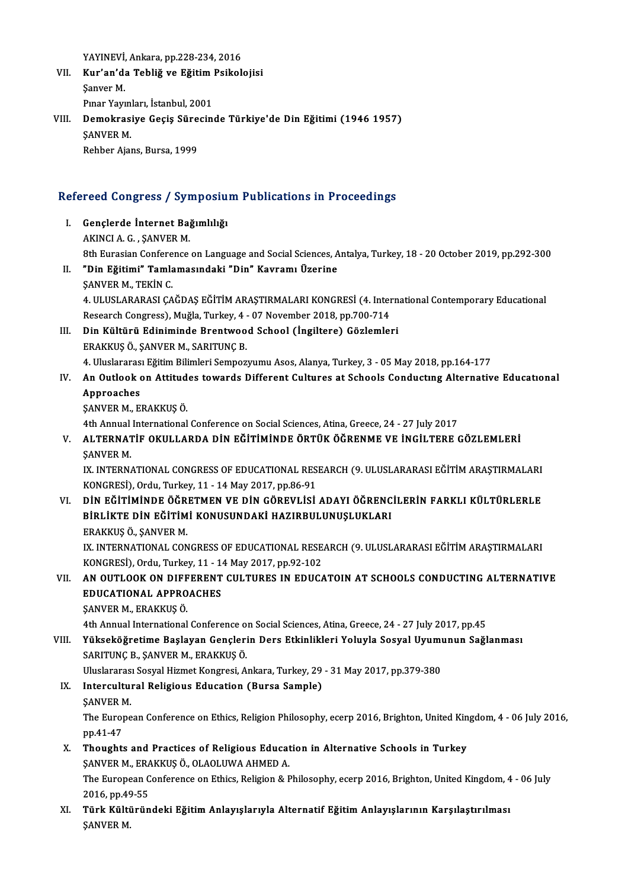YAYINEVİ, Ankara, pp.228-234, 2016<br>Kur'an'da Tabliž ve Eğitim Baikalı

- VI . Kur'an'da Tebliğ ve EğitimPsikolojisi YAYINEVİ,<br><mark>Kur'an'd</mark>:<br>Şanver M.<br><sup>Pman You</sup> Kur'an'da Tebliğ ve Eğitim<br>Şanver M.<br>Pınar Yayınları, İstanbul, 2001<br>Demekrasiya Cesis Sünesin Şanver M.<br>Pınar Yayınları, İstanbul, 2001<br>VIII. Demokrasiye Geçiş Sürecinde Türkiye'de Din Eğitimi (1946 1957)<br>SANVER M
- Pınar Yayın<br>Demokras:<br>ŞANVER M.<br>Pehber Aia Demokrasiye Geçiş Süre<br>ŞANVER M.<br>Rehber Ajans, Bursa, 1999

# Refluer Ajans, Bursa, 1999<br>Refereed Congress / Symposium Publications in Proceedings

efereed Congress / Symposiu<br>I. Gençlerde İnternet Bağımlılığı<br>AKINCLA C. SANVER M I. Gençlerde İnternet Bağımlılığı<br>AKINCI A.G., SANVER M. Gençlerde İnternet Bağımlılığı<br>AKINCI A. G. , ŞANVER M.<br>8th Eurasian Conference on Language and Social Sciences, Antalya, Turkey, 18 - 20 October 2019, pp.292-300<br>"Din Eğitimi" Tamlamasındaki "Din" Kayramı Üzerine. II. "Din Eğitimi" Tamlamasındaki "Din" Kavramı Üzerine<br>SANVER M., TEKİN C. 8th Eurasian Confere<br>"Din Eğitimi" Tamla<br>ŞANVER M., TEKİN C.<br>4. ULUSLARARASI CA "Din <mark>Eğitimi" Tamlamasındaki "Din" Kavramı Üzerine</mark><br>ŞANVER M., TEKİN C.<br>4. ULUSLARARASI ÇAĞDAŞ EĞİTİM ARAŞTIRMALARI KONGRESİ (4. International Contemporary Educational<br>Pessarsh Congress), Muğla Turkey 4., 97 Nevember 3018 ŞANVER M., TEKİN C.<br>4. ULUSLARARASI ÇAĞDAŞ EĞİTİM ARAŞTIRMALARI KONGRESİ (4. Inter<br>Research Congress), Muğla, Turkey, 4 - 07 November 2018, pp.700-714<br>Din Kültünü Ediniminde Prentweed Sebeel (İngiltere) Görlemler 4. ULUSLARARASI ÇAĞDAŞ EĞİTİM ARAŞTIRMALARI KONGRESİ (4. Intern<br>Research Congress), Muğla, Turkey, 4 - 07 November 2018, pp.700-714<br>III. Din Kültürü Ediniminde Brentwood School (İngiltere) Gözlemleri<br>FRAKKUS Ö, SANVER M. S Research Congress), Muğla, Turkey, 4 - 07 November 2018, pp.700-714<br>III. Din Kültürü Ediniminde Brentwood School (İngiltere) Gözlemleri<br>ERAKKUŞ Ö., ŞANVER M., SARITUNÇ B. 4.UluslararasıEğitimBilimleriSempozyumuAsos,Alanya,Turkey,3 -05May2018,pp.164-177 IV. An Outlook on Attitudes towards Different Cultures at Schools Conductıng Alternative Educatıonal Approaches ŞANVERM.,ERAKKUŞÖ. 4th Annual International Conference on Social Sciences, Atina, Greece, 24 - 27 July 2017 ŞANVER M., ERAKKUŞ Ö.<br>4th Annual International Conference on Social Sciences, Atina, Greece, 24 - 27 July 2017<br>V. ALTERNATİF OKULLARDA DİN EĞİTİMİNDE ÖRTÜK ÖĞRENME VE İNGİLTERE GÖZLEMLERİ<br>SANVER M 4th Annual<br>ALTERNAT<br>ŞANVER M.<br>IV. INTERN ALTERNATİF OKULLARDA DİN EĞİTİMİNDE ÖRTÜK ÖĞRENME VE İNGİLTERE GÖZLEMLERİ<br>ŞANVER M.<br>IX. INTERNATIONAL CONGRESS OF EDUCATIONAL RESEARCH (9. ULUSLARARASI EĞİTİM ARAŞTIRMALARI<br>KONGRESI) Ordu Turkov 11, 14 Mov 2017 np 86 91 ŞANVER M.<br>IX. INTERNATIONAL CONGRESS OF EDUCATIONAL RESEARCH (9. ULUSLARARASI EĞİTİM ARAŞTIRMALARI<br>KONGRESİ), Ordu, Turkey, 11 - 14 May 2017, pp.86-91 VI. DİN EĞİTİMİNDE ÖĞRETMEN VE DİN GÖREVLİSİ ADAYI ÖĞRENCİLERİN FARKLI KÜLTÜRLERLE KONGRESİ), Ordu, Turkey, 11 - 14 May 2017, pp.86-91<br>DİN EĞİTİMİNDE ÖĞRETMEN VE DİN GÖREVLİSİ ADAYI ÖĞRENC<br>BİRLİKTE DİN EĞİTİMİ KONUSUNDAKİ HAZIRBULUNUŞLUKLARI<br>ERAKKUS Ö, SANVER M DİN EĞİTİMİNDE ÖĞR<br>BİRLİKTE DİN EĞİTİM<br>ERAKKUŞ Ö., ŞANVER M.<br>IV INTERNATIONAL CON BİRLİKTE DİN EĞİTİMİ KONUSUNDAKİ HAZIRBULUNUŞLUKLARI<br>ERAKKUŞ Ö., ŞANVER M.<br>IX. INTERNATIONAL CONGRESS OF EDUCATIONAL RESEARCH (9. ULUSLARARASI EĞİTİM ARAŞTIRMALARI<br>KONGRESI), Ordu Turkey 11, 14 Mey 2017, pp.93,193 ERAKKUŞ Ö., ŞANVER M.<br>IX. INTERNATIONAL CONGRESS OF EDUCATIONAL RESE.<br>KONGRESİ), Ordu, Turkey, 11 - 14 May 2017, pp.92-102<br>AN QUTI QOK ON DIEEERENT CULTURES IN EDUC*I* KONGRESI), Ordu, Turkey, 11 - 14 May 2017, pp.92-102<br>VII. AN OUTLOOK ON DIFFERENT CULTURES IN EDUCATOIN AT SCHOOLS CONDUCTING ALTERNATIVE KONGRESI), Ordu, Turkey, 11 - 1<br>AN OUTLOOK ON DIFFERENT<br>EDUCATIONAL APPROACHES<br>SANVEP M. ERAKKUS Ö AN OUTLOOK ON DIFF<br>EDUCATIONAL APPRO<br>ŞANVER M., ERAKKUŞ Ö.<br>4th Annual International \$ANVER M., ERAKKU\$ Ö.<br>4th Annual International Conference on Social Sciences, Atina, Greece, 24 - 27 July 2017, pp.45 SANVER M., ERAKKUŞ Ö.<br>4th Annual International Conference on Social Sciences, Atina, Greece, 24 - 27 July 2017, pp.45<br>20 VIII. Yükseköğretime Başlayan Gençlerin Ders Etkinlikleri Yoluyla Sosyal Uyumunun Sağlanması<br>20 P 4th Annual International Conference o<br>Yükseköğretime Başlayan Gençleri<br>SARITUNÇ B., ŞANVER M., ERAKKUŞ Ö.<br>Hluclararası Sesval Hismet Konsresi, A Yükseköğretime Başlayan Gençlerin Ders Etkinlikleri Yoluyla Sosyal Uyumı<br>SARITUNÇ B., ŞANVER M., ERAKKUŞ Ö.<br>Uluslararası Sosyal Hizmet Kongresi, Ankara, Turkey, 29 - 31 May 2017, pp.379-380<br>Intersultural Beligious Edusatio SARITUNÇ B., ŞANVER M., ERAKKUŞ Ö.<br>Uluslararası Sosyal Hizmet Kongresi, Ankara, Turkey, 29<br>IX. Intercultural Religious Education (Bursa Sample)<br>SANVER M. Uluslararası Sosyal Hizmet Kongresi, Ankara, Turkey, 29 - 31 May 2017, pp.379-380 I<mark>ntercultural Religious Education (Bursa Sample)</mark><br>ŞANVER M.<br>The European Conference on Ethics, Religion Philosophy, ecerp 2016, Brighton, United Kingdom, 4 - 06 July 2016,<br>nn 41 47 **SANVER N<br>The Euro<br>pp.41-47<br>Thought:** The European Conference on Ethics, Religion Philosophy, ecerp 2016, Brighton, United Kin<br>pp.41-47<br>X. Thoughts and Practices of Religious Education in Alternative Schools in Turkey<br>SANVER M. ERAKKUS Ö. OLAOLUMA AHMER A pp.41-47<br><mark>Thoughts and Practices of Religious Educat</mark><br>ŞANVER M., ERAKKUŞ Ö., OLAOLUWA AHMED A.<br>The European Conference on Ethics Boligion & L Thoughts and Practices of Religious Education in Alternative Schools in Turkey<br>ŞANVER M., ERAKKUŞ Ö., OLAOLUWA AHMED A.<br>The European Conference on Ethics, Religion & Philosophy, ecerp 2016, Brighton, United Kingdom, 4 - 06 SANVER M., ERA<br>The European C<br>2016, pp.49-55<br>Tärk Kältänän The European Conference on Ethics, Religion & Philosophy, ecerp 2016, Brighton, United Kingdom, 4<br>2016, pp.49-55<br>XI. Türk Kültüründeki Eğitim Anlayışlarıyla Alternatif Eğitim Anlayışlarının Karşılaştırılması<br>5ANVEP M 2016, pp.49-55<br>XI. Türk Kültüründeki Eğitim Anlayışlarıyla Alternatif Eğitim Anlayışlarının Karşılaştırılması<br>ŞANVER M.